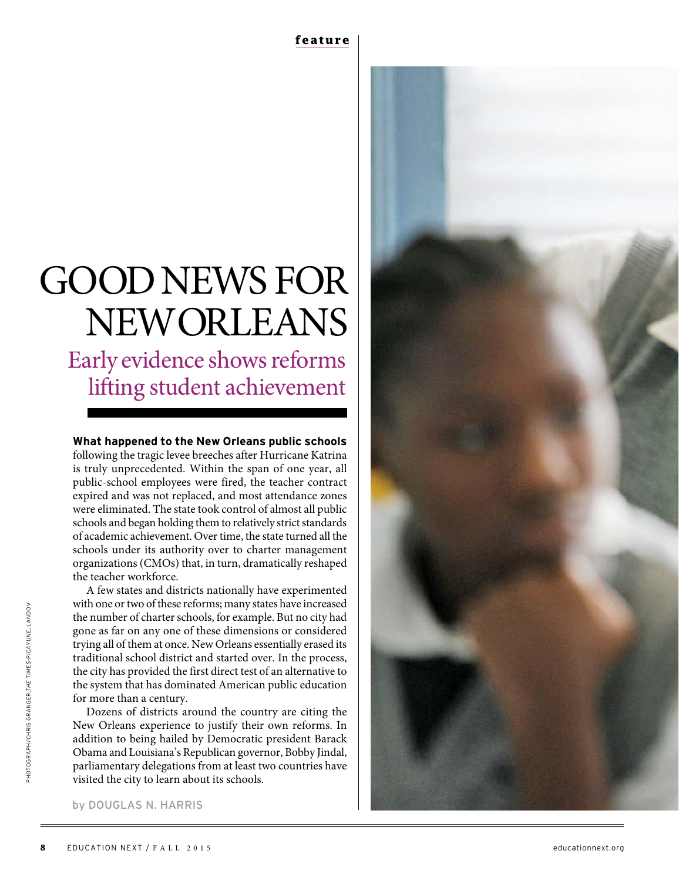# GOODNEWS FOR NEWORLEANS

Early evidence shows reforms lifting student achievement

# **What happened to the New Orleans public schools** following the tragic levee breeches after Hurricane Katrina is truly unprecedented. Within the span of one year, all

public-school employees were fired, the teacher contract expired and was not replaced, and most attendance zones were eliminated. The state took control of almost all public schools and began holding them to relatively strict standards of academic achievement. Over time, the state turned all the schools under its authority over to charter management organizations (CMOs) that, in turn, dramatically reshaped the teacher workforce.

A few states and districts nationally have experimented with one or two of these reforms; many states have increased the number of charter schools, for example. But no city had gone as far on any one of these dimensions or considered trying all of them at once. New Orleans essentially erased its traditional school district and started over. In the process, the city has provided the first direct test of an alternative to the system that has dominated American public education for more than a century.

Dozens of districts around the country are citing the New Orleans experience to justify their own reforms. In addition to being hailed by Democratic president Barack Obama and Louisiana's Republican governor, Bobby Jindal, parliamentary delegations from at least two countries have visited the city to learn about its schools.



by DOUGLAS N. HARRIS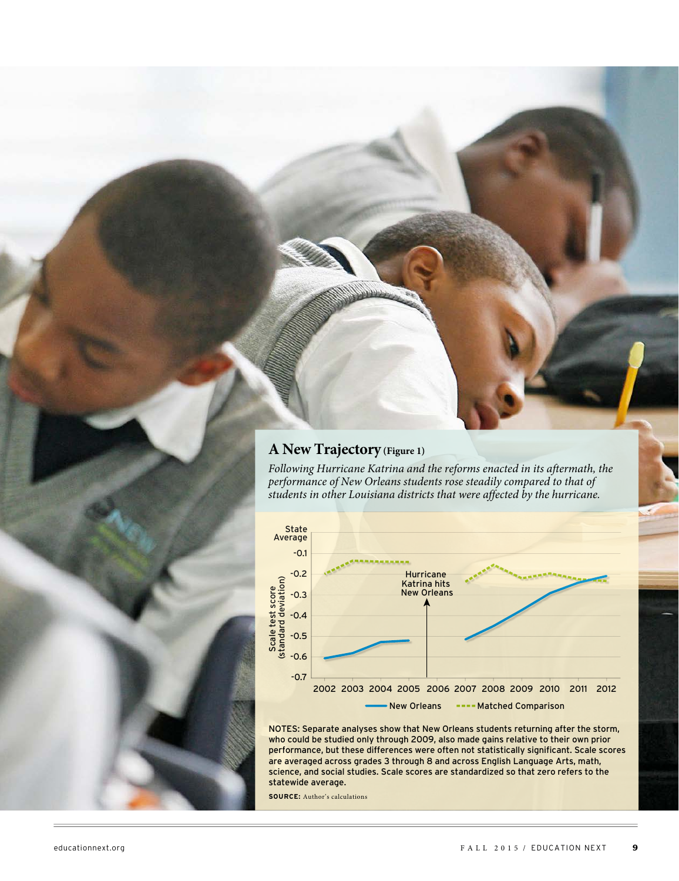# **A New Trajectory (Figure 1)**

Following Hurricane Katrina and the reforms enacted in its aftermath, the performance of New Orleans students rose steadily compared to that of students in other Louisiana districts that were affected by the hurricane.



NOTES: Separate analyses show that New Orleans students returning after the storm, who could be studied only through 2009, also made gains relative to their own prior performance, but these differences were often not statistically significant. Scale scores are averaged across grades 3 through 8 and across English Language Arts, math, science, and social studies. Scale scores are standardized so that zero refers to the statewide average.

**SOURCE:** Author's calculations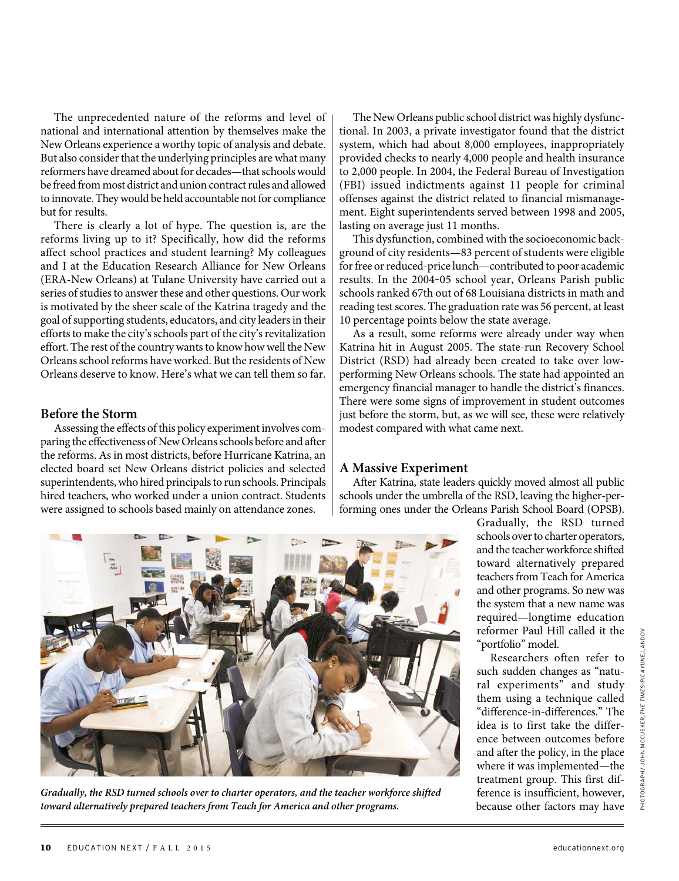The unprecedented nature of the reforms and level of national and international attention by themselves make the New Orleans experience a worthy topic of analysis and debate. But also consider that the underlying principles are what many reformers have dreamed about for decades—that schools would be freed from most district and union contract rules and allowed to innovate. They would be held accountable not for compliance but for results.

There is clearly a lot of hype. The question is, are the reforms living up to it? Specifically, how did the reforms affect school practices and student learning? My colleagues and I at the Education Research Alliance for New Orleans (ERA-New Orleans) at Tulane University have carried out a series of studies to answer these and other questions. Our work is motivated by the sheer scale of the Katrina tragedy and the goal of supporting students, educators, and city leaders in their efforts to make the city's schools part of the city's revitalization effort. The rest of the country wants to know how well the New Orleans school reforms have worked. But the residents of New Orleans deserve to know. Here's what we can tell them so far.

#### **Before the Storm**

Assessing the effects of this policy experiment involves comparing the effectiveness of New Orleans schools before and after the reforms. As in most districts, before Hurricane Katrina, an elected board set New Orleans district policies and selected superintendents, who hired principals to run schools. Principals hired teachers, who worked under a union contract. Students were assigned to schools based mainly on attendance zones.

The New Orleans public school district was highly dysfunctional. In 2003, a private investigator found that the district system, which had about 8,000 employees, inappropriately provided checks to nearly 4,000 people and health insurance to 2,000 people. In 2004, the Federal Bureau of Investigation (FBI) issued indictments against 11 people for criminal offenses against the district related to financial mismanagement. Eight superintendents served between 1998 and 2005, lasting on average just 11 months.

This dysfunction, combined with the socioeconomic background of city residents—83 percent of students were eligible for free or reduced-price lunch—contributed to poor academic results. In the 2004-05 school year, Orleans Parish public schools ranked 67th out of 68 Louisiana districts in math and reading test scores. The graduation rate was 56 percent, at least 10 percentage points below the state average.

As a result, some reforms were already under way when Katrina hit in August 2005. The state-run Recovery School District (RSD) had already been created to take over lowperforming New Orleans schools. The state had appointed an emergency financial manager to handle the district's finances. There were some signs of improvement in student outcomes just before the storm, but, as we will see, these were relatively modest compared with what came next.

#### **A Massive Experiment**

After Katrina, state leaders quickly moved almost all public schools under the umbrella of the RSD, leaving the higher-performing ones under the Orleans Parish School Board (OPSB).



**Gradually, the RSD turned schools over to charter operators, and the teacher workforce shifted toward alternatively prepared teachers from Teach for America and other programs.** 

Gradually, the RSD turned schools over to charter operators, and the teacher workforce shifted toward alternatively prepared teachers from Teach for America and other programs. So new was the system that a new name was required—longtime education reformer Paul Hill called it the "portfolio" model.

Researchers often refer to such sudden changes as "natural experiments" and study them using a technique called "difference-in-differences." The idea is to first take the difference between outcomes before and after the policy, in the place where it was implemented—the treatment group. This first difference is insufficient, however, because other factors may have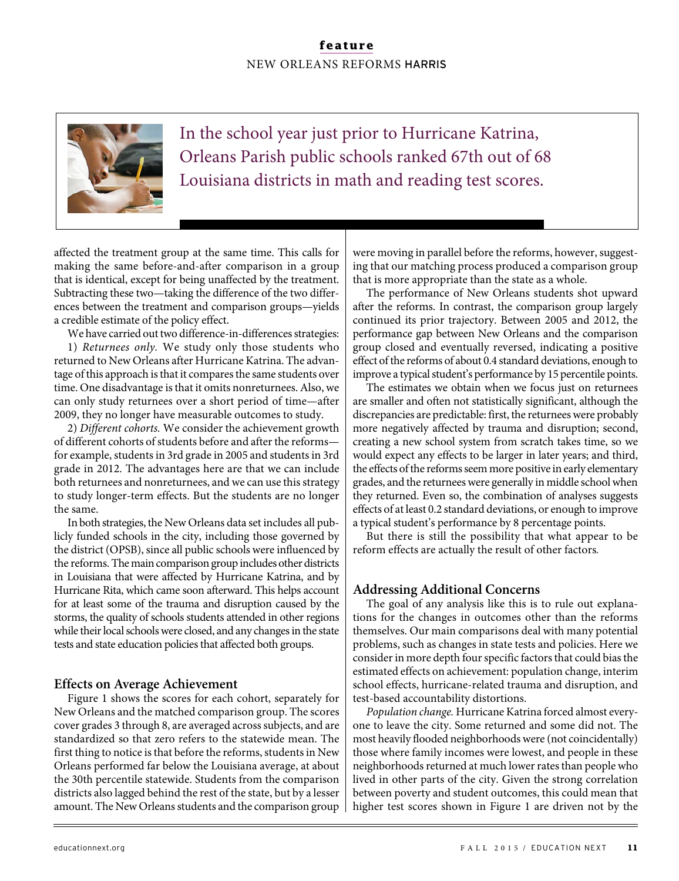# **feature** NEW ORLEANS REFORMS HARRIS



In the school year just prior to Hurricane Katrina, Orleans Parish public schools ranked 67th out of 68 Louisiana districts in math and reading test scores.

affected the treatment group at the same time. This calls for making the same before-and-after comparison in a group that is identical, except for being unaffected by the treatment. Subtracting these two—taking the difference of the two differences between the treatment and comparison groups—yields a credible estimate of the policy effect.

We have carried out two difference-in-differences strategies: 1) Returnees only. We study only those students who returned to New Orleans after Hurricane Katrina. The advantage of this approach is that it compares the same students over time. One disadvantage is that it omits nonreturnees. Also, we can only study returnees over a short period of time—after 2009, they no longer have measurable outcomes to study.

2) Different cohorts. We consider the achievement growth of different cohorts of students before and after the reforms for example, students in 3rd grade in 2005 and students in 3rd grade in 2012. The advantages here are that we can include both returnees and nonreturnees, and we can use this strategy to study longer-term effects. But the students are no longer the same.

In both strategies, the New Orleans data set includes all publicly funded schools in the city, including those governed by the district (OPSB), since all public schools were influenced by the reforms. The main comparison group includes other districts in Louisiana that were affected by Hurricane Katrina, and by Hurricane Rita, which came soon afterward. This helps account for at least some of the trauma and disruption caused by the storms, the quality of schools students attended in other regions while their local schools were closed, and any changes in the state tests and state education policies that affected both groups.

#### **Effects on Average Achievement**

Figure 1 shows the scores for each cohort, separately for New Orleans and the matched comparison group. The scores cover grades 3 through 8, are averaged across subjects, and are standardized so that zero refers to the statewide mean. The first thing to notice is that before the reforms, students in New Orleans performed far below the Louisiana average, at about the 30th percentile statewide. Students from the comparison districts also lagged behind the rest of the state, but by a lesser amount. The New Orleans students and the comparison group were moving in parallel before the reforms, however, suggesting that our matching process produced a comparison group that is more appropriate than the state as a whole.

The performance of New Orleans students shot upward after the reforms. In contrast, the comparison group largely continued its prior trajectory. Between 2005 and 2012, the performance gap between New Orleans and the comparison group closed and eventually reversed, indicating a positive effect of the reforms of about 0.4 standard deviations, enough to improve a typical student's performance by 15 percentile points.

The estimates we obtain when we focus just on returnees are smaller and often not statistically significant, although the discrepancies are predictable: first, the returnees were probably more negatively affected by trauma and disruption; second, creating a new school system from scratch takes time, so we would expect any effects to be larger in later years; and third, the effects of the reforms seem more positive in early elementary grades, and the returnees were generally in middle school when they returned. Even so, the combination of analyses suggests effects of at least 0.2 standard deviations, or enough to improve a typical student's performance by 8 percentage points.

But there is still the possibility that what appear to be reform effects are actually the result of other factors**.**

#### **Addressing Additional Concerns**

The goal of any analysis like this is to rule out explanations for the changes in outcomes other than the reforms themselves. Our main comparisons deal with many potential problems, such as changes in state tests and policies. Here we consider in more depth four specific factors that could bias the estimated effects on achievement: population change, interim school effects, hurricane-related trauma and disruption, and test-based accountability distortions.

Population change. Hurricane Katrina forced almost everyone to leave the city. Some returned and some did not. The most heavily flooded neighborhoods were (not coincidentally) those where family incomes were lowest, and people in these neighborhoods returned at much lower rates than people who lived in other parts of the city. Given the strong correlation between poverty and student outcomes, this could mean that higher test scores shown in Figure 1 are driven not by the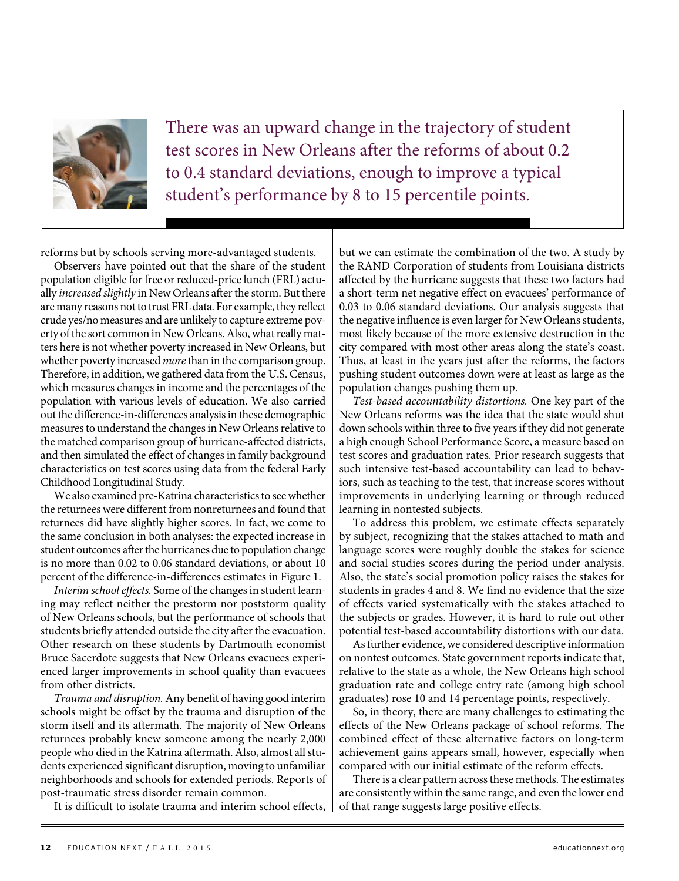

There was an upward change in the trajectory of student test scores in New Orleans after the reforms of about 0.2 to 0.4 standard deviations, enough to improve a typical student's performance by 8 to 15 percentile points.

reforms but by schools serving more-advantaged students.

Observers have pointed out that the share of the student population eligible for free or reduced-price lunch (FRL) actually increased slightly in New Orleans after the storm. But there are many reasons not to trust FRL data. For example, they reflect crude yes/no measures and are unlikely to capture extreme poverty of the sort common in New Orleans. Also, what really matters here is not whether poverty increased in New Orleans, but whether poverty increased *more* than in the comparison group. Therefore, in addition, we gathered data from the U.S. Census, which measures changes in income and the percentages of the population with various levels of education. We also carried out the difference-in-differences analysis in these demographic measures to understand the changes in New Orleans relative to the matched comparison group of hurricane-affected districts, and then simulated the effect of changes in family background characteristics on test scores using data from the federal Early Childhood Longitudinal Study.

We also examined pre-Katrina characteristics to see whether the returnees were different from nonreturnees and found that returnees did have slightly higher scores. In fact, we come to the same conclusion in both analyses: the expected increase in student outcomes after the hurricanes due to population change is no more than 0.02 to 0.06 standard deviations, or about 10 percent of the difference-in-differences estimates in Figure 1.

Interim school effects. Some of the changes in student learning may reflect neither the prestorm nor poststorm quality of New Orleans schools, but the performance of schools that students briefly attended outside the city after the evacuation. Other research on these students by Dartmouth economist Bruce Sacerdote suggests that New Orleans evacuees experienced larger improvements in school quality than evacuees from other districts.

Trauma and disruption. Any benefit of having good interim schools might be offset by the trauma and disruption of the storm itself and its aftermath. The majority of New Orleans returnees probably knew someone among the nearly 2,000 people who died in the Katrina aftermath. Also, almost all students experienced significant disruption, moving to unfamiliar neighborhoods and schools for extended periods. Reports of post-traumatic stress disorder remain common.

It is difficult to isolate trauma and interim school effects,

but we can estimate the combination of the two. A study by the RAND Corporation of students from Louisiana districts affected by the hurricane suggests that these two factors had a short-term net negative effect on evacuees' performance of 0.03 to 0.06 standard deviations. Our analysis suggests that the negative influence is even larger for New Orleans students, most likely because of the more extensive destruction in the city compared with most other areas along the state's coast. Thus, at least in the years just after the reforms, the factors pushing student outcomes down were at least as large as the population changes pushing them up.

Test-based accountability distortions. One key part of the New Orleans reforms was the idea that the state would shut down schools within three to five years if they did not generate a high enough School Performance Score, a measure based on test scores and graduation rates. Prior research suggests that such intensive test-based accountability can lead to behaviors, such as teaching to the test, that increase scores without improvements in underlying learning or through reduced learning in nontested subjects.

To address this problem, we estimate effects separately by subject, recognizing that the stakes attached to math and language scores were roughly double the stakes for science and social studies scores during the period under analysis. Also, the state's social promotion policy raises the stakes for students in grades 4 and 8. We find no evidence that the size of effects varied systematically with the stakes attached to the subjects or grades. However, it is hard to rule out other potential test-based accountability distortions with our data.

As further evidence, we considered descriptive information on nontest outcomes. State government reports indicate that, relative to the state as a whole, the New Orleans high school graduation rate and college entry rate (among high school graduates) rose 10 and 14 percentage points, respectively.

So, in theory, there are many challenges to estimating the effects of the New Orleans package of school reforms. The combined effect of these alternative factors on long-term achievement gains appears small, however, especially when compared with our initial estimate of the reform effects.

There is a clear pattern across these methods. The estimates are consistently within the same range, and even the lower end of that range suggests large positive effects.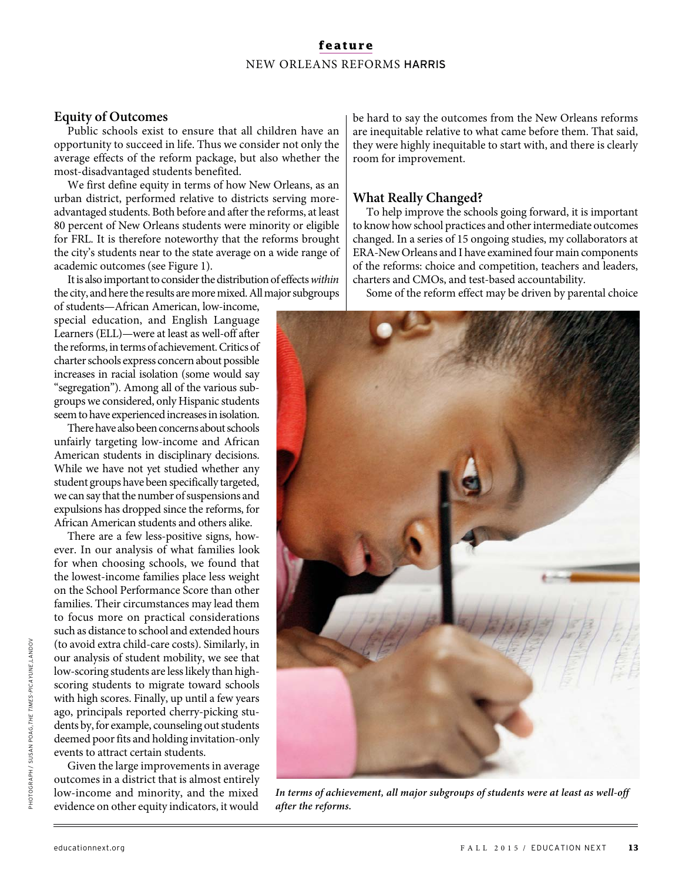## **feature** NEW ORLEANS REFORMS HARRIS

#### **Equity of Outcomes**

Public schools exist to ensure that all children have an opportunity to succeed in life. Thus we consider not only the average effects of the reform package, but also whether the most-disadvantaged students benefited.

We first define equity in terms of how New Orleans, as an urban district, performed relative to districts serving moreadvantaged students. Both before and after the reforms, at least 80 percent of New Orleans students were minority or eligible for FRL. It is therefore noteworthy that the reforms brought the city's students near to the state average on a wide range of academic outcomes (see Figure 1).

It is also important to consider the distribution of effects within the city, and here the results are more mixed. All major subgroups

of students—African American, low-income, special education, and English Language Learners (ELL)—were at least as well-off after the reforms, in terms of achievement. Critics of charter schools express concern about possible increases in racial isolation (some would say "segregation"). Among all of the various subgroups we considered, only Hispanic students seem to have experienced increases in isolation.

There have also been concerns about schools unfairly targeting low-income and African American students in disciplinary decisions. While we have not yet studied whether any student groups have been specifically targeted, we can say that the number of suspensions and expulsions has dropped since the reforms, for African American students and others alike.

There are a few less-positive signs, however. In our analysis of what families look for when choosing schools, we found that the lowest-income families place less weight on the School Performance Score than other families. Their circumstances may lead them to focus more on practical considerations such as distance to school and extended hours (to avoid extra child-care costs). Similarly, in our analysis of student mobility, we see that low-scoring students are less likely than highscoring students to migrate toward schools with high scores. Finally, up until a few years ago, principals reported cherry-picking students by, for example, counseling out students deemed poor fits and holding invitation-only events to attract certain students.

Given the large improvements in average outcomes in a district that is almost entirely low-income and minority, and the mixed evidence on other equity indicators, it would

be hard to say the outcomes from the New Orleans reforms are inequitable relative to what came before them. That said, they were highly inequitable to start with, and there is clearly room for improvement.

#### **What Really Changed?**

To help improve the schools going forward, it is important to know how school practices and other intermediate outcomes changed. In a series of 15 ongoing studies, my collaborators at ERA-New Orleans and I have examined four main components of the reforms: choice and competition, teachers and leaders, charters and CMOs, and test-based accountability.

Some of the reform effect may be driven by parental choice



**In terms of achievement, all major subgroups of students were at least as well-off after the reforms.**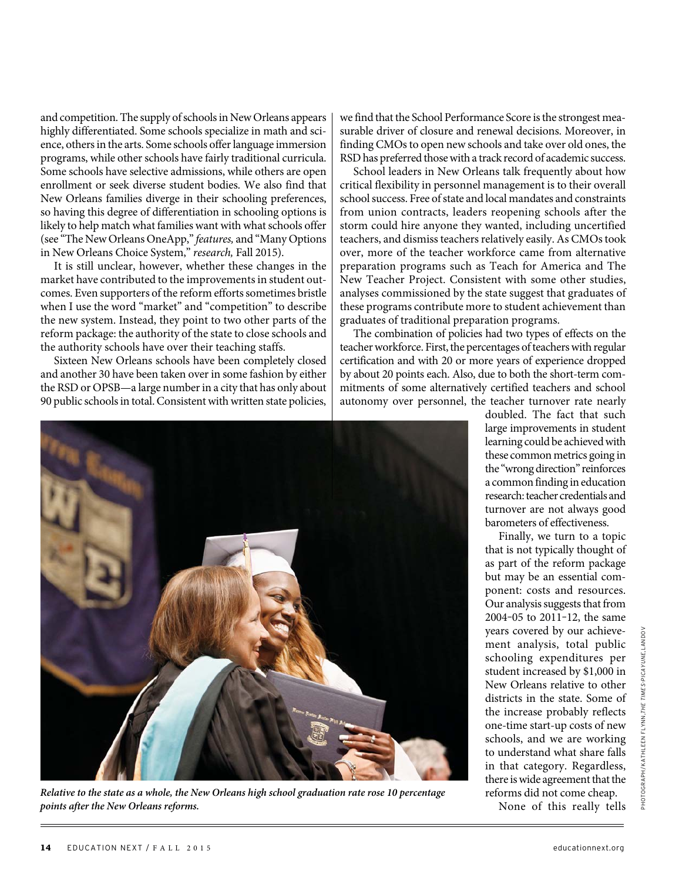and competition. The supply of schools in New Orleans appears highly differentiated. Some schools specialize in math and science, others in the arts. Some schools offer language immersion programs, while other schools have fairly traditional curricula. Some schools have selective admissions, while others are open enrollment or seek diverse student bodies. We also find that New Orleans families diverge in their schooling preferences, so having this degree of differentiation in schooling options is likely to help match what families want with what schools offer (see "The New Orleans OneApp," features, and "Many Options in New Orleans Choice System," research, Fall 2015).

It is still unclear, however, whether these changes in the market have contributed to the improvements in student outcomes. Even supporters of the reform efforts sometimes bristle when I use the word "market" and "competition" to describe the new system. Instead, they point to two other parts of the reform package: the authority of the state to close schools and the authority schools have over their teaching staffs.

Sixteen New Orleans schools have been completely closed and another 30 have been taken over in some fashion by either the RSD or OPSB—a large number in a city that has only about 90 public schools in total. Consistent with written state policies,

we find that the School Performance Score is the strongest measurable driver of closure and renewal decisions. Moreover, in finding CMOs to open new schools and take over old ones, the RSD has preferred those with a track record of academic success.

School leaders in New Orleans talk frequently about how critical flexibility in personnel management is to their overall school success. Free of state and local mandates and constraints from union contracts, leaders reopening schools after the storm could hire anyone they wanted, including uncertified teachers, and dismiss teachers relatively easily. As CMOs took over, more of the teacher workforce came from alternative preparation programs such as Teach for America and The New Teacher Project. Consistent with some other studies, analyses commissioned by the state suggest that graduates of these programs contribute more to student achievement than graduates of traditional preparation programs.

The combination of policies had two types of effects on the teacher workforce. First, the percentages of teachers with regular certification and with 20 or more years of experience dropped by about 20 points each. Also, due to both the short-term commitments of some alternatively certified teachers and school autonomy over personnel, the teacher turnover rate nearly



**Relative to the state as a whole, the New Orleans high school graduation rate rose 10 percentage points after the New Orleans reforms.**

doubled. The fact that such large improvements in student learning could be achieved with these common metrics going in the "wrong direction" reinforces a common finding in education research: teacher credentials and turnover are not always good barometers of effectiveness.

Finally, we turn to a topic that is not typically thought of as part of the reform package but may be an essential component: costs and resources. Our analysis suggests that from 2004‒05 to 2011‒12, the same years covered by our achievement analysis, total public schooling expenditures per student increased by \$1,000 in New Orleans relative to other districts in the state. Some of the increase probably reflects one-time start-up costs of new schools, and we are working to understand what share falls in that category. Regardless, there is wide agreement that the reforms did not come cheap. None of this really tells